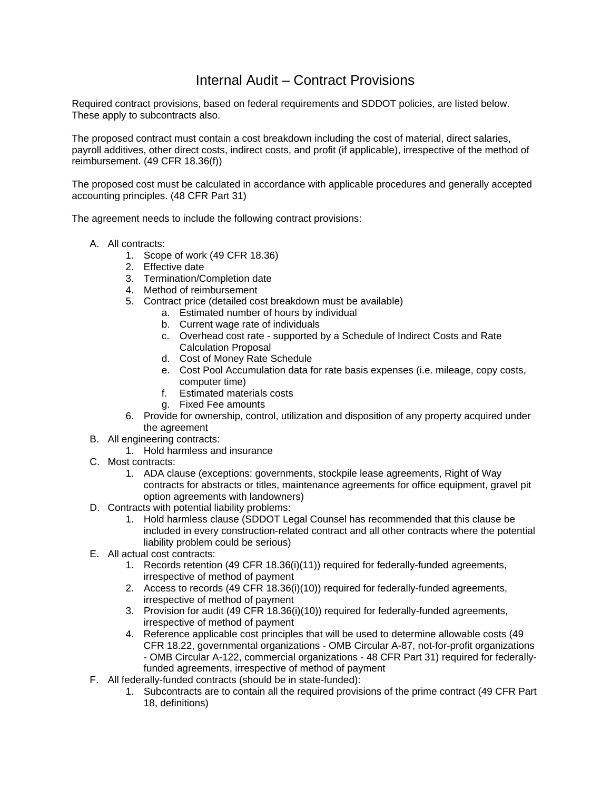## Internal Audit – Contract Provisions

Required contract provisions, based on federal requirements and SDDOT policies, are listed below. These apply to subcontracts also.

The proposed contract must contain a cost breakdown including the cost of material, direct salaries, payroll additives, other direct costs, indirect costs, and profit (if applicable), irrespective of the method of reimbursement. (49 CFR 18.36(f))

The proposed cost must be calculated in accordance with applicable procedures and generally accepted accounting principles. (48 CFR Part 31)

The agreement needs to include the following contract provisions:

- A. All contracts:
	- 1. Scope of work (49 CFR 18.36)
	- 2. Effective date
	- 3. Termination/Completion date
	- 4. Method of reimbursement
	- 5. Contract price (detailed cost breakdown must be available)
		- a. Estimated number of hours by individual
		- b. Current wage rate of individuals
		- c. Overhead cost rate supported by a Schedule of Indirect Costs and Rate Calculation Proposal
		- d. Cost of Money Rate Schedule
		- e. Cost Pool Accumulation data for rate basis expenses (i.e. mileage, copy costs, computer time)
		- f. Estimated materials costs
		- g. Fixed Fee amounts
	- 6. Provide for ownership, control, utilization and disposition of any property acquired under the agreement
- B. All engineering contracts:
	- 1. Hold harmless and insurance
- C. Most contracts:
	- 1. ADA clause (exceptions: governments, stockpile lease agreements, Right of Way contracts for abstracts or titles, maintenance agreements for office equipment, gravel pit option agreements with landowners)
- D. Contracts with potential liability problems:
	- 1. Hold harmless clause (SDDOT Legal Counsel has recommended that this clause be included in every construction-related contract and all other contracts where the potential liability problem could be serious)
- E. All actual cost contracts:
	- 1. Records retention (49 CFR 18.36(i)(11)) required for federally-funded agreements, irrespective of method of payment
	- 2. Access to records (49 CFR 18.36(i)(10)) required for federally-funded agreements, irrespective of method of payment
	- 3. Provision for audit (49 CFR 18.36(i)(10)) required for federally-funded agreements, irrespective of method of payment
	- 4. Reference applicable cost principles that will be used to determine allowable costs (49 CFR 18.22, governmental organizations - OMB Circular A-87, not-for-profit organizations - OMB Circular A-122, commercial organizations - 48 CFR Part 31) required for federallyfunded agreements, irrespective of method of payment
- F. All federally-funded contracts (should be in state-funded):
	- 1. Subcontracts are to contain all the required provisions of the prime contract (49 CFR Part 18, definitions)